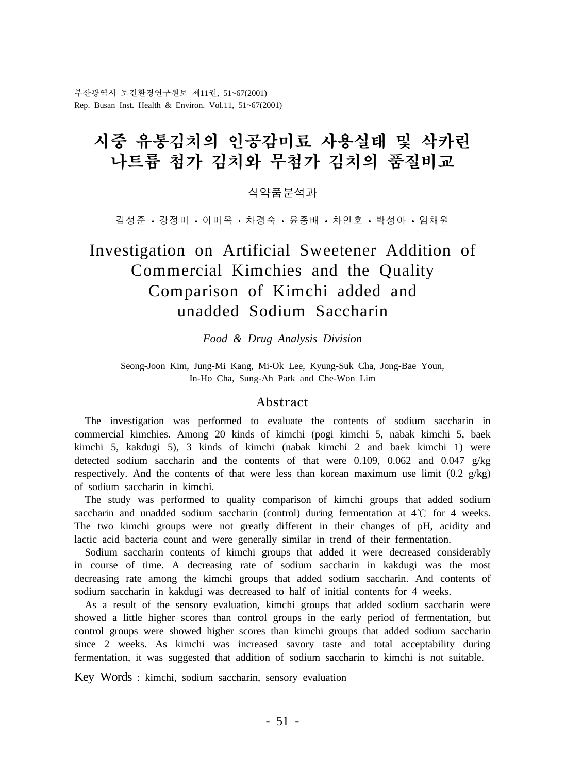부산광역시 보건환경연구원보 제11권, 51~67(2001) Rep. Busan Inst. Health & Environ. Vol.11, 51~67(2001)

# 시중 유통김치의 인공감미료 사용실태 및 삭카린 나트륨 첨가 김치와 무척가 김치의 품질비교

식약품분석과

김성준 ㆍ 강정미 ㆍ 이 미 옥 ㆍ 차경 숙 ㆍ 윤 종 배 ㆍ 차 인 호 ㆍ 박 성 아 ㆍ 임 채 원

# Investigation on Artificial Sweetener Addition of Commercial Kimchies and the Quality Comparison of Kimchi added and unadded Sodium Saccharin

*Food & Drug Analysis Division*

Seong-Joon Kim, Jung-Mi Kang, Mi-Ok Lee, Kyung-Suk Cha, Jong-Bae Youn, In-Ho Cha, Sung-Ah Park and Che-Won Lim

#### Abstract

 The investigation was performed to evaluate the contents of sodium saccharin in commercial kimchies. Among 20 kinds of kimchi (pogi kimchi 5, nabak kimchi 5, baek kimchi 5, kakdugi 5), 3 kinds of kimchi (nabak kimchi 2 and baek kimchi 1) were detected sodium saccharin and the contents of that were 0.109, 0.062 and 0.047  $g/kg$ respectively. And the contents of that were less than korean maximum use limit  $(0.2 \text{ g/kg})$ of sodium saccharin in kimchi.

 The study was performed to quality comparison of kimchi groups that added sodium saccharin and unadded sodium saccharin (control) during fermentation at  $4\degree$  for 4 weeks. The two kimchi groups were not greatly different in their changes of pH, acidity and lactic acid bacteria count and were generally similar in trend of their fermentation.

 Sodium saccharin contents of kimchi groups that added it were decreased considerably in course of time. A decreasing rate of sodium saccharin in kakdugi was the most decreasing rate among the kimchi groups that added sodium saccharin. And contents of sodium saccharin in kakdugi was decreased to half of initial contents for 4 weeks.

 As a result of the sensory evaluation, kimchi groups that added sodium saccharin were showed a little higher scores than control groups in the early period of fermentation, but control groups were showed higher scores than kimchi groups that added sodium saccharin since 2 weeks. As kimchi was increased savory taste and total acceptability during fermentation, it was suggested that addition of sodium saccharin to kimchi is not suitable.

Key Words : kimchi, sodium saccharin, sensory evaluation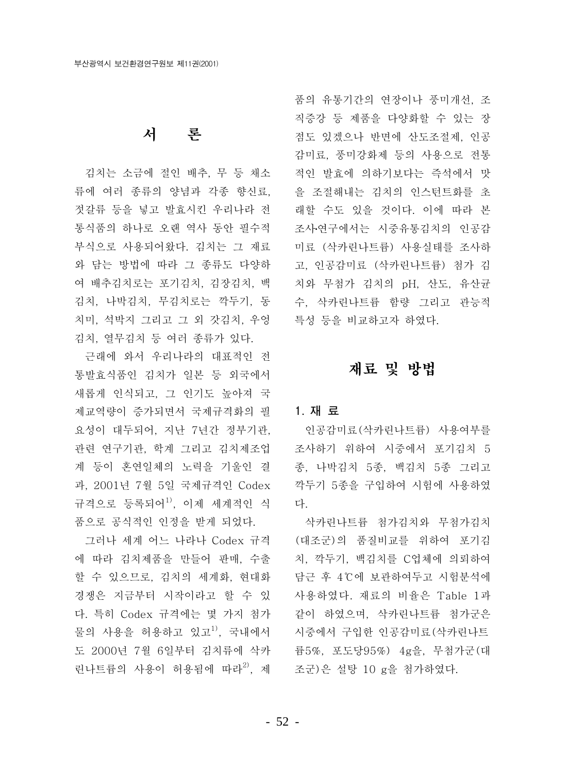# 서 론

김치는 소금에 절인 배추, 무 등 채소 류에 여러 종류의 양념과 각종 향신료. 젓갈류 등을 넣고 발효시킨 우리나라 전 통식품의 하나로 오랜 역사 동안 필수적 부식으로 사용되어왔다. 김치는 그 재료 와 담는 방법에 따라 그 종류도 다양하 여 배추김치로는 포기김치, 김장김치, 백 김치, 나박김치, 무김치로는 깍두기, 동 치미, 석박지 그리고 그 외 갓김치, 우엉 김치, 열무김치 등 여러 종류가 있다.

근래에 와서 우리나라의 대표적인 전 통발효식품인 김치가 일본 등 외국에서 새롭게 인식되고, 그 인기도 높아져 국 제교역량이 증가되면서 국제규격화의 필 요성이 대두되어, 지난 7년간 정부기관, 관련 연구기관, 학계 그리고 김치제조업 - 조사하기 위하여 시중에서 포기김치 5 계 등이 혼연일체의 노력을 기울인 결 과, 2001년 7월 5일 국제규격인 Codex 규격으로 등록되어<sup>1)</sup>, 이제 세계적인 식 품으로 공식적인 인정을 받게 되었다.

그러나 세계 어느 나라나 Codex 규격 에 따라 김치제품을 만들어 판매, 수출 할 수 있으므로, 김치의 세계화, 현대화 경쟁은 지금부터 시작이라고 할 수 있 다. 특히 Codex 규격에는 몇 가지 첨가 물의 사용을 허용하고 있고<sup>1)</sup>, 국내에서 도 2000년 7월 6일부터 김치류에 삭카 린나트륨의 사용이 허용됨에 따라<sup>2)</sup>. 제

품의 유통기간의 연장이나 풍미개선, 조 직증강 등 제품을 다양화할 수 있는 장 점도 있겠으나 반면에 산도조절제, 인공 감미료, 풍미강화제 등의 사용으로 전통 적인 발효에 의하기보다는 즉석에서 맛 을 조절해내는 김치의 인스턴트화를 초 래할 수도 있을 것이다. 이에 따라 본 조사·연구에서는 시중유통김치의 인공감 미료 (삭카린나트륨) 사용실태를 조사하 고, 인공감미료 (삭카린나트륨) 첨가 김 치와 무첨가 김치의 pH, 산도, 유산균 수, 삭카린나트륨 함량 그리고 관능적 특성 등을 비교하고자 하였다.

# 재료 및 방법

#### 1. 재 료

인공감미료(삭카린나트륨) 사용여부를 종, 나박김치 5종, 백김치 5종 그리고 깍두기 5종을 구입하여 시험에 사용하였 다.

삭카린나트륨 첨가김치와 무첨가김치 (대조군)의 품질비교를 위하여 포기김 치. 깍두기. 백김치를 C업체에 의뢰하여 담근 후 4℃에 보관하여두고 시험분석에 사용하였다. 재료의 비율은 Table 1과 같이 하였으며, 삭카린나트륨 첨가군은 시중에서 구입한 인공감미료(삭카린나트 륨5%, 포도당95%) 4g을, 무첨가군(대 조군)은 설탕 10 g을 첨가하였다.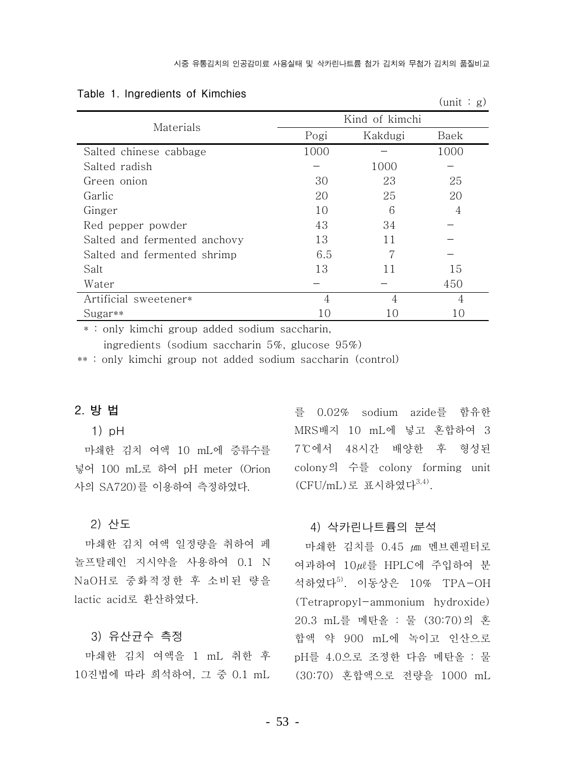$(\text{unit} \cdot \alpha)$ 

|  |  | Table 1. Ingredients of Kimchies |  |  |
|--|--|----------------------------------|--|--|
|--|--|----------------------------------|--|--|

|                              |                |         | $\sum$ |  |
|------------------------------|----------------|---------|--------|--|
|                              | Kind of kimchi |         |        |  |
| Materials                    | Pogi           | Kakdugi | Baek   |  |
| Salted chinese cabbage       | 1000           |         | 1000   |  |
| Salted radish                |                | 1000    |        |  |
| Green onion                  | 30             | 23      | 25     |  |
| Garlic                       | 20             | 25      | 20     |  |
| Ginger                       | 10             | 6       | 4      |  |
| Red pepper powder            | 43             | 34      |        |  |
| Salted and fermented anchovy | 13             | 11      |        |  |
| Salted and fermented shrimp  | 6.5            |         |        |  |
| Salt                         | 13             | 11      | 15     |  |
| Water                        |                |         | 450    |  |
| Artificial sweetener*        | 4              | 4       | 4      |  |
| $Sugar**$                    | 10             | 10      | 10     |  |

\* : only kimchi group added sodium saccharin,

ingredients (sodium saccharin 5%, glucose 95%)

\*\*: only kimchi group not added sodium saccharin (control)

### 2. 방법

#### $1)$  pH

마쇄한 김치 여액 10 mL에 증류수를 넣어 100 mL로 하여 pH meter (Orion 사의 SA720)를 이용하여 측정하였다.

#### 2) 산도

마쇄한 김치 여액 일정량을 취하여 페 놀프탈레인 지시약을 사용하여 0.1 N NaOH로 중화적정한 후 소비된 량을 lactic acid로 환산하였다.

#### 3) 유사규수 측정

마쇄한 김치 여액을 1 mL 취한 후 10진법에 따라 희석하여, 그 중 0.1 mL 를 0.02% sodium azide를 함유한 MRS배지 10 mL에 넣고 혼합하여 3 7℃에서 48시간 배양한 후 형성된 colony의 수를 colony forming unit (CFU/mL)로 표시하였다<sup>3,4)</sup>.

#### 4) 삭카린나트륨의 분석

마쇄한 김치를 0.45 µm 멘브렌필터로 여과하여 10 . HPLC에 주입하여 분 석하였다<sup>5)</sup>. 이동상은 10% TPA-OH (Tetrapropyl-ammonium hydroxide) 20.3 mL를 메탄올 : 물 (30:70)의 혼 합액 약 900 mL에 녹이고 인산으로 pH를 4.0으로 조정한 다음 메탄올 : 물 (30:70) 혼합액으로 전량을 1000 mL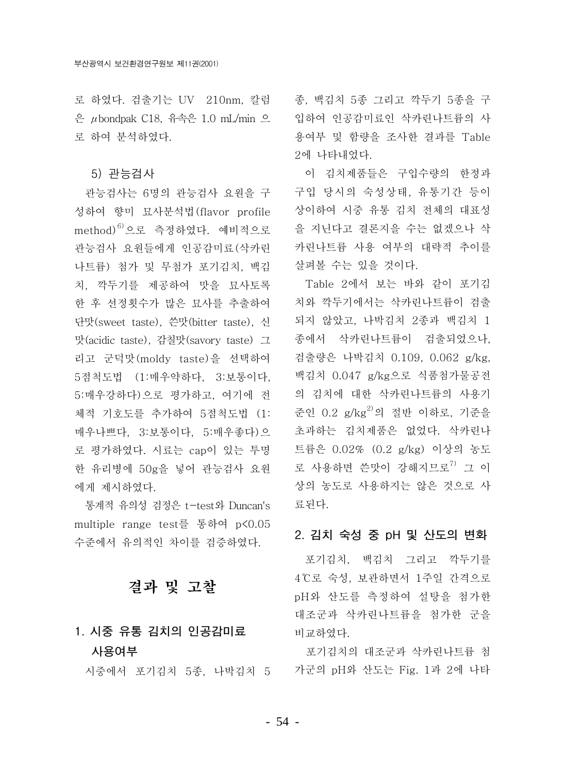로 하였다. 검출기는 UV 210nm, 칼럼 - 종, 백김치 5종 그리고 깍두기 5종을 구 은  $\mu$ bondpak C18, 유속은 1.0 mL/min 으 로 하여 분석하였다.

#### 5) 관능검사

관능검사는 6명의 관능검사 요원을 구 성하여 향미 묘사분석법(flavor profile method)<sup>6)</sup>으로 측정하였다. 예비적으로 관능검사 요워들에게 인공감미료(삭카린 나트륨) 첨가 및 무첨가 포기김치, 백김 치, 깍두기를 제공하여 맛을 묘사토록 한 후 선정횟수가 많은 묘사를 추출하여 단맛(sweet taste), 쓴맛(bitter taste), 신 맛(acidic taste), 감칠맛(savory taste) 그 리고 군덕맛(moldy taste)을 선택하여 5점척도법 (1:매우약하다, 3:보통이다, 5:매우강하다)으로 평가하고, 여기에 전 체적 기호도를 추가하여 5점척도법 (1: 매우나쁘다, 3:보통이다, 5:매우좋다)으 로 평가하였다. 시료는 cap이 있는 투명 한 유리병에 50g을 넣어 관능검사 요원 에게 제시하였다.

통계적 유의성 검정은 t-test와 Duncan's multiple range test를 통하여 p<0.05 수준에서 유의적인 차이를 검증하였다.

결과 및 고찰

# 1. 시중 유통 김치의 인공감미료 사용여부

입하여 인공감미료인 삭카린나트륨의 사 용여부 및 함량을 조사한 결과를 Table 2에 나타내었다.

이 김치제품들은 구입수량의 한정과 구입 당시의 숙성상태, 유통기간 등이 상이하여 시중 유통 김치 전체의 대표성 을 지닌다고 결론지을 수는 없겠으나 삭 카린나트륨 사용 여부의 대략적 추이를 살펴볼 수는 있을 것이다.

Table 2에서 보는 바와 같이 포기김 치와 깍두기에서는 삭카린나트륨이 검출 되지 않았고, 나박김치 2종과 백김치 1 종에서 삭카린나트륨이 검출되었으나, 검출량은 나박김치 0.109, 0.062 g/kg, 백김치 0.047 g/kg으로 식품첨가물공전 의 김치에 대한 삭카린나트륨의 사용기 준인 0.2 g/kg<sup>2)</sup>의 절반 이하로, 기준을 초과하는 김치제품은 없었다. 삭카린나 트륨은 0.02% (0.2 g/kg) 이상의 농도 로 사용하면 쓴맛이 강해지므로<sup>7)</sup> 그 이 상의 농도로 사용하지는 않은 것으로 사 료된다.

#### 2. 김치 숙성 중 pH 및 산도의 변화

포기김치, 백김치 그리고 깍두기를 4℃로 숙성, 보관하면서 1주일 간격으로 pH와 산도를 측정하여 설탕을 첨가한 대조군과 삭카린나트륨을 첨가한 군을 비교하였다.

포기김치의 대조군과 삭카린나트륨 첨 시중에서 포기김치 5종, 나박김치 5 가군의 pH와 산도는 Fig. 1과 2에 나타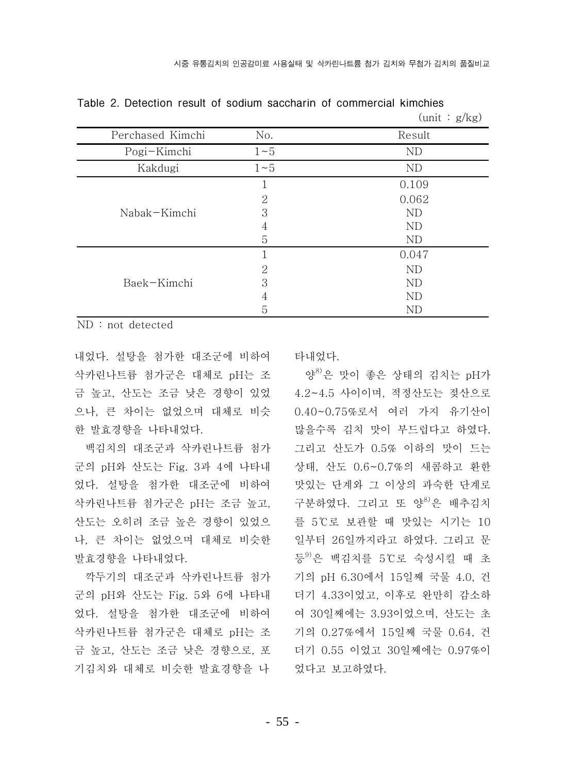|                  |          | $\mu$ ullit · $\mu$ <sub>N</sub> $\mu$ |
|------------------|----------|----------------------------------------|
| Perchased Kimchi | No.      | Result                                 |
| Pogi-Kimchi      | $1\sim5$ | ND                                     |
| Kakdugi          | $1\sim5$ | ND                                     |
|                  |          | 0.109                                  |
|                  | 2        | 0.062                                  |
| Nabak-Kimchi     | 3        | ND                                     |
|                  | 4        | ND                                     |
|                  | 5        | ND                                     |
|                  |          | 0.047                                  |
|                  | 2        | ND                                     |
| Baek-Kimchi      | 3        | ND                                     |
|                  | 4        | ND                                     |
|                  | 5        | ND                                     |

Table 2. Detection result of sodium saccharin of commercial kimchies  $(\text{unit} \cdot \alpha/\alpha)$ 

 $ND: not detected$ 

내었다. 설탕을 첨가한 대조군에 비하여 삭카린나트륨 첨가군은 대체로 pH는 조 금 높고, 산도는 조금 낮은 경향이 있었 으나, 큰 차이는 없었으며 대체로 비슷 한 발효경향을 나타내었다.

백김치의 대조군과 삭카린나트륨 첨가 군의 pH와 산도는 Fig. 3과 4에 나타내 었다. 설탕을 첨가한 대조군에 비하여 삭카린나트륨 첨가군은 pH는 조금 높고, 산도는 오히려 조금 높은 경향이 있었으 나, 큰 차이는 없었으며 대체로 비슷한 발효경향을 나타내었다.

깍두기의 대조군과 삭카린나트륨 첨가 군의 pH와 산도는 Fig. 5와 6에 나타내 었다. 설탕을 첨가한 대조군에 비하여 삭카린나트륨 첨가군은 대체로 pH는 조 금 높고, 산도는 조금 낮은 경향으로, 포 기김치와 대체로 비슷한 발효경향을 나 타내었다.

양<sup>8)</sup>은 맛이 좋은 상태의 김치는 pH가 4.2~4.5 사이이며, 적정산도는 젖산으로 0.40~0.75%로서 여러 가지 유기산이 많을수록 김치 맛이 부드럽다고 하였다. 그리고 산도가 0.5% 이하의 맛이 드는 상태, 산도 0.6~0.7%의 새콤하고 환한 맛있는 단계와 그 이상의 과숙한 단계로 구분하였다. 그리고 또 양<sup>8)</sup>은 배추김치 를 5℃로 보관할 때 맛있는 시기는 10 일부터 26일까지라고 하였다. 그리고 문 등<sup>9)</sup>은 백김치를 5℃로 숙성시킬 때 초 기의 pH 6.30에서 15일째 국물 4.0, 건 더기 4.33이었고, 이후로 완만히 감소하 여 30일째에는 3.93이었으며, 산도는 초 기의 0.27%에서 15일째 국물 0.64, 건 더기 0.55 이었고 30일째에는 0.97%이 었다고 보고하였다.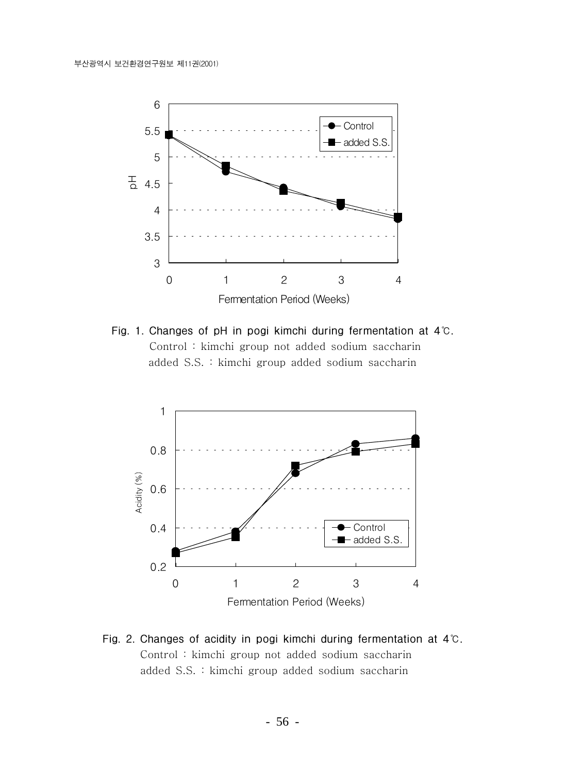

Fig. 1. Changes of pH in pogi kimchi during fermentation at 4°C. Control: kimchi group not added sodium saccharin added S.S. : kimchi group added sodium saccharin



Fig. 2. Changes of acidity in pogi kimchi during fermentation at 4°C. Control: kimchi group not added sodium saccharin added S.S. : kimchi group added sodium saccharin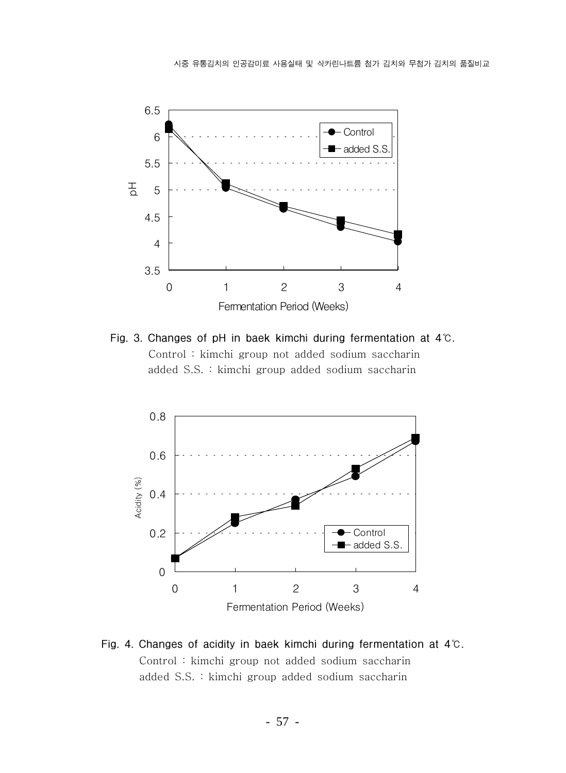

Fig. 3. Changes of pH in baek kimchi during fermentation at 4°C. Control : kimchi group not added sodium saccharin added S.S. : kimchi group added sodium saccharin



Fig. 4. Changes of acidity in baek kimchi during fermentation at 4°C. Control: kimchi group not added sodium saccharin added S.S. : kimchi group added sodium saccharin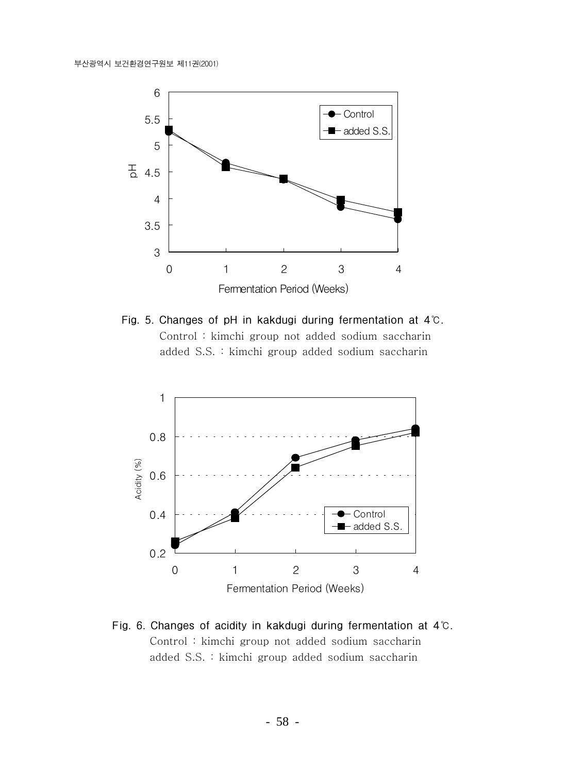

Fig. 5. Changes of pH in kakdugi during fermentation at 4°C. Control: kimchi group not added sodium saccharin added S.S. : kimchi group added sodium saccharin



Fig. 6. Changes of acidity in kakdugi during fermentation at 4°C. Control: kimchi group not added sodium saccharin added S.S. : kimchi group added sodium saccharin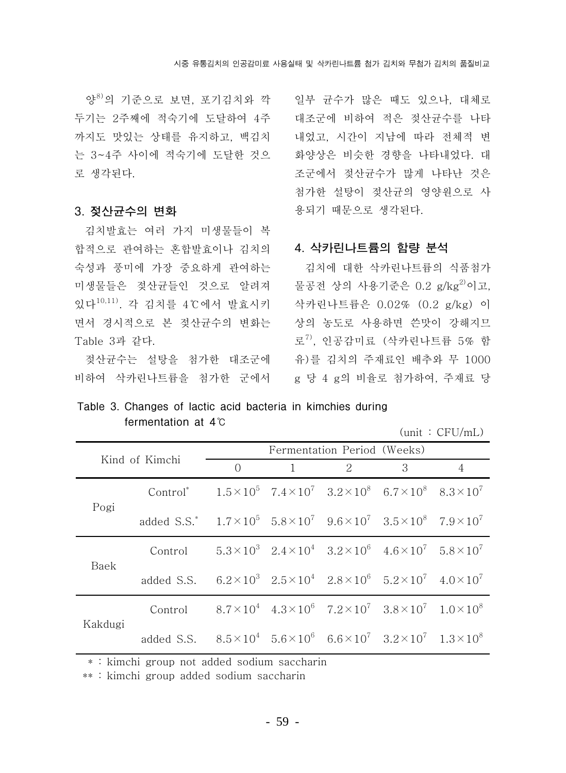양<sup>8)</sup>의 기주으로 보면, 포기김치와 깍 두기는 2주째에 적숙기에 도달하여 4주 까지도 맛있는 상태를 유지하고, 백김치 는 3~4주 사이에 적숙기에 도달한 것으 로 생각된다.

#### 3. 젖산균수의 변화

김치발효는 여러 가지 미생물들이 복 합적으로 관여하는 혼합발효이나 김치의 숙성과 풍미에 가장 중요하게 관여하는 미생물들은 젖산규들인 것으로 알려져 있다<sup>10,11)</sup>. 각 김치를 4℃에서 발효시키 면서 경시적으로 본 젖산균수의 변화는 Table 3과 같다.

젖산규수는 설탕을 첨가한 대조군에 비하여 삭카린나트륨을 첨가한 군에서 일부 규수가 많은 때도 있으나. 대체로 대조군에 비하여 적은 젖산균수를 나타 내었고, 시간이 지남에 따라 전체적 변 화양상은 비슷한 경향을 나타내었다. 대 조군에서 젖산규수가 많게 나타난 것은 첨가한 설탕이 젖산균의 영양원으로 사 용되기 때문으로 생각된다.

#### 4. 삭카린나트륨의 함량 분석

김치에 대한 삭카린나트륨의 식품첨가 물공전 상의 사용기준은 0.2 g/kg2)이고. 삭카린나트륨은 0.02% (0.2 g/kg) 이 상의 농도로 사용하면 쓴맛이 강해지므 로<sup>7)</sup>, 인공감미료 (삭카린나트륨 5% 함 유)를 김치의 주재료인 배추와 무 1000 g 당 4 g의 비율로 첨가하여. 주재료 당

Table 3. Changes of lactic acid bacteria in kimchies during fermentation at 4°C

 $(unit : CFU/mL)$ 

| Kind of Kimchi |                                                                                                                | Fermentation Period (Weeks) |  |                                                                                           |   |   |
|----------------|----------------------------------------------------------------------------------------------------------------|-----------------------------|--|-------------------------------------------------------------------------------------------|---|---|
|                |                                                                                                                | $\Omega$                    |  | $\mathcal{D}_{\mathcal{L}}$                                                               | 3 | 4 |
| Pogi           | Control <sup>*</sup> $1.5 \times 10^5$ $7.4 \times 10^7$ $3.2 \times 10^8$ $6.7 \times 10^8$ $8.3 \times 10^7$ |                             |  |                                                                                           |   |   |
|                | added S.S.* $1.7 \times 10^5$ $5.8 \times 10^7$ $9.6 \times 10^7$ $3.5 \times 10^8$ $7.9 \times 10^7$          |                             |  |                                                                                           |   |   |
| Baek           | Control                                                                                                        |                             |  | $5.3 \times 10^3$ $2.4 \times 10^4$ $3.2 \times 10^6$ $4.6 \times 10^7$ $5.8 \times 10^7$ |   |   |
|                | added S.S. $6.2 \times 10^3$ $2.5 \times 10^4$ $2.8 \times 10^6$ $5.2 \times 10^7$ $4.0 \times 10^7$           |                             |  |                                                                                           |   |   |
| Kakdugi        | Control                                                                                                        |                             |  | $8.7 \times 10^4$ $4.3 \times 10^6$ $7.2 \times 10^7$ $3.8 \times 10^7$ $1.0 \times 10^8$ |   |   |
|                | added S.S. $8.5 \times 10^4$ $5.6 \times 10^6$ $6.6 \times 10^7$ $3.2 \times 10^7$ $1.3 \times 10^8$           |                             |  |                                                                                           |   |   |

\* : kimchi group not added sodium saccharin

\*\*: kimchi group added sodium saccharin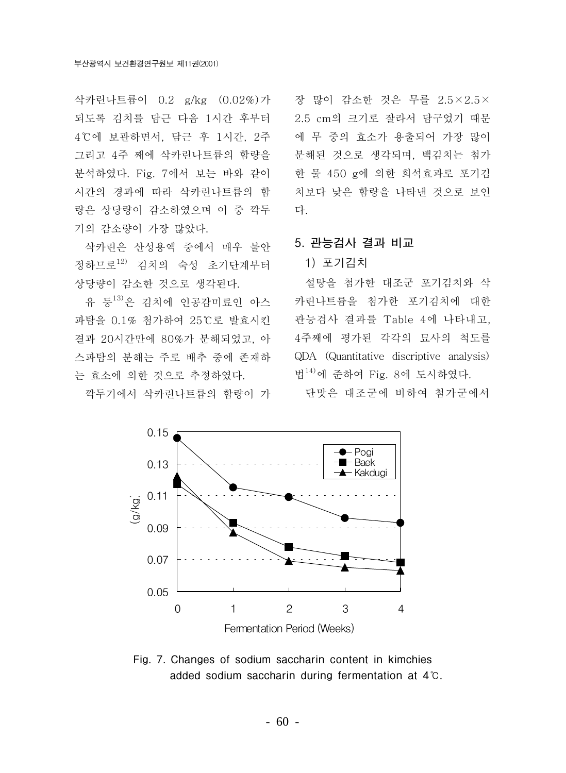삭카린나트륨이 0.2 g/kg (0.02%)가 되도록 김치를 담근 다음 1시간 후부터 4℃에 보관하면서, 담근 후 1시간, 2주 그리고 4주 째에 삭카린나트륨의 함량을 분석하였다. Fig. 7에서 보는 바와 같이 시간의 경과에 따라 삭카린나트륨의 함 량은 상당량이 감소하였으며 이 중 깍두 기의 감소량이 가장 많았다.

삭카린은 산성용액 중에서 매우 불안 정하므로12) 김치의 숙성 초기단계부터 상당량이 감소한 것으로 생각된다.

유 등<sup>13)</sup>은 김치에 인공감미료인 아스 파탐을 0.1% 첨가하여 25℃로 발효시킨 결과 20시간만에 80%가 분해되었고. 아 스파탐의 분해는 주로 배추 중에 존재하 는 효소에 의한 것으로 추정하였다.

깍두기에서 삭카린나트륨의 함량이 가

장 많이 감소한 것은 무를 2.5×2.5× 2.5 cm의 크기로 잘라서 담구었기 때문 에 무 중의 효소가 용출되어 가장 많이 분해된 것으로 생각되며, 백김치는 첨가 한 물 450 g에 의한 희석효과로 포기김 치보다 낮은 함량을 나타낸 것으로 보인 다.

#### 5. 관능검사 결과 비교

#### 1) 포기김치

설탕을 첨가한 대조군 포기김치와 삭 카린나트륨을 첨가한 포기김치에 대한 관능검사 결과를 Table 4에 나타내고. 4주째에 평가된 각각의 묘사의 척도를 QDA (Quantitative discriptive analysis) 법<sup>14)</sup>에 준하여 Fig. 8에 도시하였다.

단맛은 대조군에 비하여 첨가군에서



Fig. 7. Changes of sodium saccharin content in kimchies added sodium saccharin during fermentation at 4°C.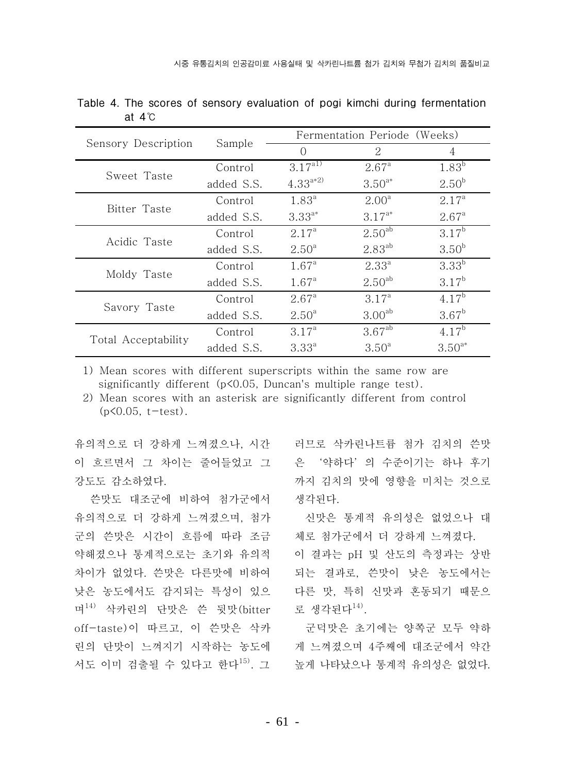|                     |            | Fermentation Periode (Weeks) |                    |                   |  |
|---------------------|------------|------------------------------|--------------------|-------------------|--|
| Sensory Description | Sample     | $\bigcap$                    | $\mathcal{L}$      | 4                 |  |
| Sweet Taste         | Control    | $3.17^{a1}$                  | $2.67^{\circ}$     | 1.83 <sup>b</sup> |  |
|                     | added S.S. | $4.33^{a*2}$                 | $3.50^{a*}$        | $2.50^{b}$        |  |
|                     | Control    | $1.83^{a}$                   | $2.00^a$           | $2.17^a$          |  |
| Bitter Taste        | added S.S. | $3.33^{a*}$                  | $3.17^{a*}$        | $2.67^{\circ}$    |  |
| Acidic Taste        | Control    | 2.17 <sup>a</sup>            | 2.50 <sup>ab</sup> | $3.17^{b}$        |  |
|                     | added S.S. | $2.50^{\circ}$               | $2.83^{ab}$        | 3.50 <sup>b</sup> |  |
|                     | Control    | $1.67^{\circ}$               | $2.33^{a}$         | $3.33^{b}$        |  |
| Moldy Taste         | added S.S. | $1.67^{\circ}$               | $2.50^{ab}$        | $3.17^{b}$        |  |
|                     | Control    | $2.67^{\circ}$               | $3.17^a$           | $4.17^{b}$        |  |
| Savory Taste        | added S.S. | $2.50^{\circ}$               | 3.00 <sup>ab</sup> | $3.67^{\rm b}$    |  |
|                     | Control    | 3.17 <sup>a</sup>            | 3.67 <sup>ab</sup> | $4.17^{b}$        |  |
| Total Acceptability | added S.S. | $3.33^{a}$                   | $3.50^{\circ}$     | $3.50^{a*}$       |  |

Table 4. The scores of sensory evaluation of pogi kimchi during fermentation at  $4^\circ$ C

1) Mean scores with different superscripts within the same row are significantly different (p<0.05, Duncan's multiple range test).

2) Mean scores with an asterisk are significantly different from control  $(p<0.05, t-test)$ .

유의적으로 더 강하게 느껴졌으나. 시간 이 흐르면서 그 차이는 줄어들었고 그 강도도 감소하였다.

쓴맛도 대조군에 비하여 첨가군에서 유의적으로 더 강하게 느껴졌으며, 첨가 군의 쓴맛은 시간이 흐름에 따라 조금 약해졌으나 통계적으로는 초기와 유의적 차이가 없었다. 쓴맛은 다른맛에 비하여 낮은 농도에서도 감지되는 특성이 있으 며<sup>14)</sup> 삭카린의 단맛은 쓴 뒷맛(bitter off-taste)이 따르고, 이 쓴맛은 삭카 린의 단맛이 느껴지기 시작하는 농도에 서도 이미 검출될 수 있다고 한다<sup>15)</sup>. 그

러므로 삭카린나트륨 첨가 김치의 쓴맛 은 '약하다' 의 수준이기는 하나 후기 까지 김치의 맛에 영향을 미치는 것으로 생각된다.

신맛은 통계적 유의성은 없었으나 대 체로 첨가군에서 더 강하게 느껴졌다. 이 결과는 pH 및 산도의 측정과는 상반 되는 결과로, 쓴맛이 낮은 농도에서는 다른 맛, 특히 신맛과 혼동되기 때문으 로 생각되다<sup>14)</sup>.

군덕맛은 초기에는 양쪽군 모두 약하 게 느껴졌으며 4주째에 대조군에서 약간 높게 나타났으나 통계적 유의성은 없었다.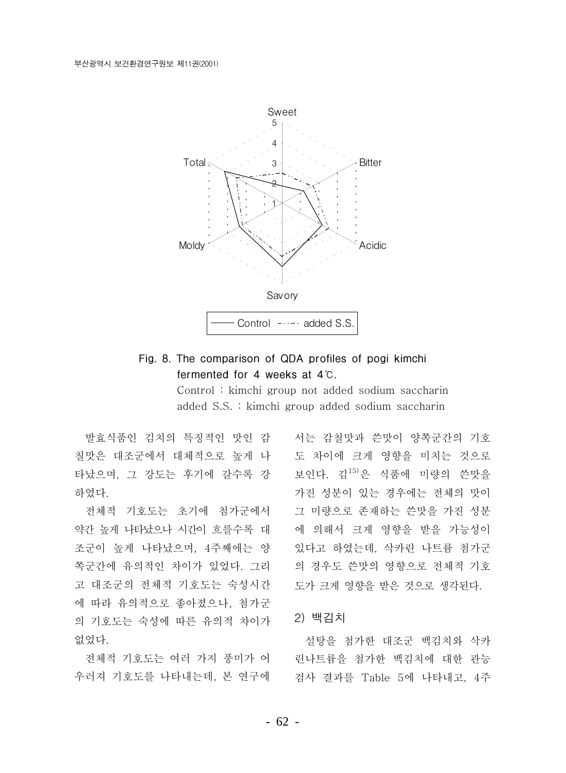

## Fig. 8. The comparison of QDA profiles of pogi kimchi fermented for 4 weeks at 4°C.

Control: kimchi group not added sodium saccharin added S.S. : kimchi group added sodium saccharin

발효식품인 김치의 특징적인 맛인 감 칠맛은 대조군에서 대체적으로 높게 나 타났으며, 그 강도는 후기에 갈수록 강 하였다.

전체적 기호도는 초기에 첨가군에서 약간 높게 나타났으나 시간이 흐를수록 대 조군이 높게 나타났으며, 4주째에는 양 쪽구가에 유의적인 차이가 있었다. 그리 고 대조군의 전체적 기호도는 숙성시간 에 따라 유의적으로 좋아졌으나, 첨가군 의 기호도는 숙성에 따른 유의적 차이가 없었다.

전체적 기호도는 여러 가지 풍미가 어 우러져 기호도를 나타내는데, 본 연구에

서는 감칠맛과 쓴맛이 양쪽군간의 기호 도 차이에 크게 영향을 미치는 것으로 보인다. 김15)은 식품에 미량의 쓴맛을 가진 성분이 있는 경우에는 전체의 맛이 그 미량으로 존재하는 쓴맛을 가진 성분 에 의해서 크게 영향을 받을 가능성이 있다고 하였는데. 삭카린 나트륨 첨가군 의 경우도 쓴맛의 영향으로 전체적 기호 도가 크게 영향을 받은 것으로 생각된다.

#### 2) 백김치

설탕을 첨가한 대조군 백김치와 삭카 린나트륨을 첨가한 백김치에 대한 관능 검사 결과를 Table 5에 나타내고. 4주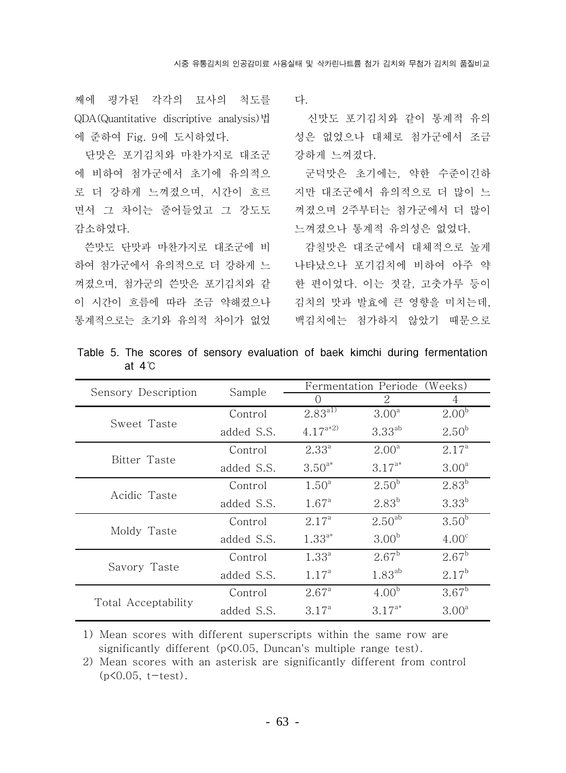째에 평가된 각각의 묘사의 척도를 QDA(Quantitative discriptive analysis)법 에 준하여 Fig. 9에 도시하였다.

단맛은 포기김치와 마찬가지로 대조군 에 비하여 첨가군에서 초기에 유의적으 로 더 강하게 느껴졌으며, 시간이 흐르 면서 그 차이는 줄어들었고 그 강도도 감소하였다.

쓴맛도 단맛과 마찬가지로 대조군에 비 하여 첨가군에서 유의적으로 더 강하게 느 껴졌으며, 첨가군의 쓴맛은 포기김치와 같 이 시간이 흐름에 따라 조금 약해졌으나 통계적으로는 초기와 유의적 차이가 없었

다

신맛도 포기김치와 같이 통계적 유의 성은 없었으나 대체로 첨가군에서 조금 강하게 느껴졌다.

군덕맛은 초기에는, 약한 수준이긴하 지만 대조군에서 유의적으로 더 많이 느 껴졌으며 2주부터는 첨가군에서 더 많이 느껴졌으나 통계적 유의성은 없었다.

감칠맛은 대조군에서 대체적으로 높게 나타났으나 포기김치에 비하여 아주 약 한 편이었다. 이는 젓갈, 고춧가루 등이 김치의 맛과 발효에 큰 영향을 미치는데. 백김치에는 첨가하지 않았기 때문으로

|                     | Sample     | Fermentation Periode<br>(Weeks) |                    |                   |  |
|---------------------|------------|---------------------------------|--------------------|-------------------|--|
| Sensory Description |            | $\bigcap$                       | 2                  | 4                 |  |
|                     | Control    | $2.83^{\overline{a1}}$          | 3.00 <sup>a</sup>  | 2.00 <sup>b</sup> |  |
| Sweet Taste         | added S.S. | $4.17^{a*2}$                    | $3.33^{ab}$        | $2.50^{b}$        |  |
|                     | Control    | $2.33^{a}$                      | $2.00^{\circ}$     | $2.17^{\circ}$    |  |
| Bitter Taste        | added S.S. | $3.50^{a*}$                     | $3.17^{a*}$        | 3.00 <sup>a</sup> |  |
|                     | Control    | 1.50 <sup>a</sup>               | 2.50 <sup>b</sup>  | $2.83^{b}$        |  |
| Acidic Taste        | added S.S. | $1.67^{\circ}$                  | $2.83^{b}$         | $3.33^{b}$        |  |
|                     | Control    | $2.17^{\circ}$                  | 2.50 <sup>ab</sup> | 3.50 <sup>b</sup> |  |
| Moldy Taste         | added S.S. | $1.33^{a*}$                     | 3.00 <sup>b</sup>  | 4.00 <sup>c</sup> |  |
|                     | Control    | $1.33^{a}$                      | $2.67^{\rm b}$     | $2.67^{\rm b}$    |  |
| Savory Taste        | added S.S. | $1.17^{a}$                      | $1.83^{ab}$        | $2.17^{b}$        |  |
|                     | Control    | $2.67^{\circ}$                  | 4.00 <sup>b</sup>  | $3.67^{\rm b}$    |  |
| Total Acceptability | added S.S. | $3.17^{a}$                      | $3.17^{a*}$        | 3.00 <sup>a</sup> |  |

Table 5. The scores of sensory evaluation of baek kimchi during fermentation at  $4^{\circ}$ C

1) Mean scores with different superscripts within the same row are significantly different (p<0.05, Duncan's multiple range test).

2) Mean scores with an asterisk are significantly different from control  $(p<0.05, t-test)$ .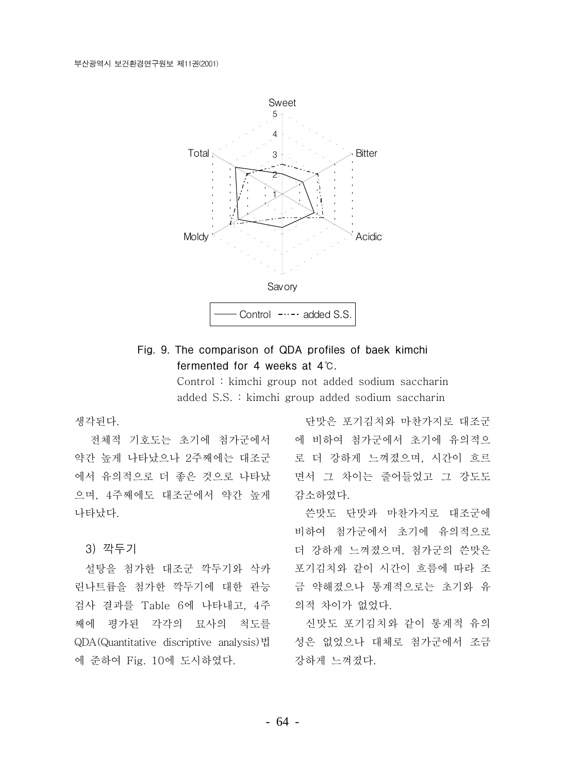

### Fig. 9. The comparison of QDA profiles of baek kimchi fermented for 4 weeks at 4°C.

Control: kimchi group not added sodium saccharin added S.S. : kimchi group added sodium saccharin

생각된다.

전체적 기호도는 초기에 첨가군에서 약간 높게 나타났으나 2주째에는 대조군 에서 유의적으로 더 좋은 것으로 나타났 으며, 4주째에도 대조군에서 약간 높게 나타났다.

3) 깍두기

설탕을 첨가한 대조군 깍두기와 삭카 린나트륨을 첨가한 깍두기에 대한 관능 검사 결과를 Table 6에 나타내고, 4주 째에 평가된 각각의 묘사의 척도를 QDA(Quantitative discriptive analysis)법 에 준하여 Fig. 10에 도시하였다.

단맛은 포기김치와 마찬가지로 대조군 에 비하여 첨가군에서 초기에 유의적으 로 더 강하게 느껴졌으며, 시간이 흐르 면서 그 차이는 줄어들었고 그 강도도 감소하였다.

쓴맛도 단맛과 마찬가지로 대조군에 비하여 첨가군에서 초기에 유의적으로 더 강하게 느껴졌으며, 첨가군의 쓴맛은 포기김치와 같이 시간이 흐름에 따라 조 금 약해졌으나 통계적으로는 초기와 유 의적 차이가 없었다.

신맛도 포기김치와 같이 통계적 유의 성은 없었으나 대체로 첨가군에서 조금 강하게 느껴졌다.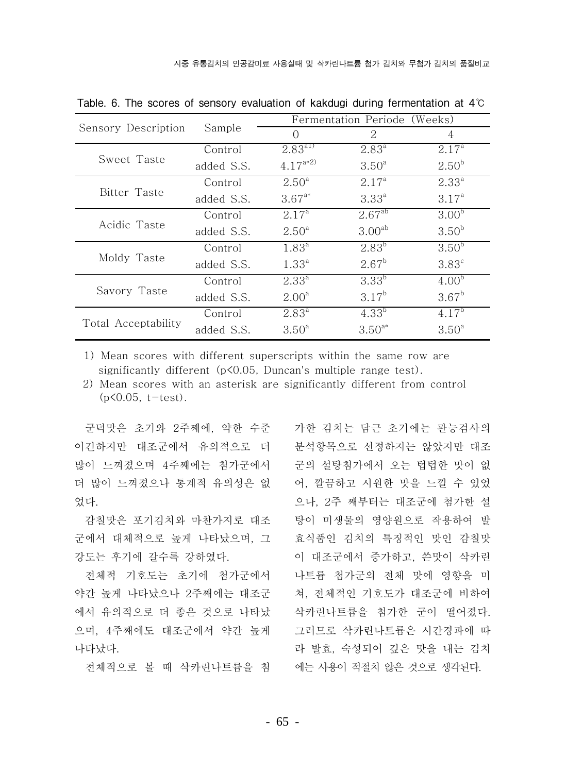|                     |            |                   | Fermentation Periode (Weeks) |                   |  |  |
|---------------------|------------|-------------------|------------------------------|-------------------|--|--|
| Sensory Description | Sample     | $\bigcap$         | 2                            | 4                 |  |  |
|                     | Control    | $2.83^{41}$       | $2.83^{a}$                   | 2.17 <sup>a</sup> |  |  |
| Sweet Taste         | added S.S. | $4.17^{a*2}$      | $3.50^{\circ}$               | 2.50 <sup>b</sup> |  |  |
|                     | Control    | $2.50^{\circ}$    | $2.17^{\circ}$               | $2.33^{a}$        |  |  |
| Bitter Taste        | added S.S. | $3.67^{a*}$       | $3.33^{a}$                   | 3.17 <sup>a</sup> |  |  |
| Acidic Taste        | Control    | 2.17 <sup>a</sup> | $2.67^{ab}$                  | 3.00 <sup>b</sup> |  |  |
|                     | added S.S. | $2.50^{\circ}$    | 3.00 <sup>ab</sup>           | 3.50 <sup>b</sup> |  |  |
| Moldy Taste         | Control    | $1.83^{a}$        | $2.83^{b}$                   | $3.50^{b}$        |  |  |
|                     | added S.S. | $1.33^{a}$        | $2.67^{\rm b}$               | 3.83 <sup>c</sup> |  |  |
| Savory Taste        | Control    | $2.33^{a}$        | $3.33^{b}$                   | 4.00 <sup>b</sup> |  |  |
|                     | added S.S. | 2.00 <sup>a</sup> | $3.17^{b}$                   | $3.67^{\rm b}$    |  |  |
|                     | Control    | $2.83^{\circ}$    | $4.33^{b}$                   | $4.17^{b}$        |  |  |
| Total Acceptability | added S.S. | $3.50^{\circ}$    | $3.50^{a*}$                  | $3.50^{\circ}$    |  |  |

Table. 6. The scores of sensory evaluation of kakdugi during fermentation at  $4^\circ$ 

1) Mean scores with different superscripts within the same row are significantly different  $(p<0.05$ . Duncan's multiple range test).

2) Mean scores with an asterisk are significantly different from control  $(p<0.05, t-test)$ .

군덕맛은 초기와 2주째에, 약한 수준 이긴하지만 대조군에서 유의적으로 더 많이 느껴졌으며 4주째에는 첨가군에서 더 많이 느껴졌으나 통계적 유의성은 없 었다.

감칠맛은 포기김치와 마찬가지로 대조 군에서 대체적으로 높게 나타났으며, 그 강도는 후기에 갈수록 강하였다.

전체적 기호도는 초기에 첨가군에서 약간 높게 나타났으나 2주째에는 대조군 에서 유의적으로 더 좋은 것으로 나타났 으며, 4주째에도 대조구에서 약간 높게 나타났다.

전체적으로 볼 때 삭카린나트륨을 첨

가한 김치는 담근 초기에는 관능검사의 분석항목으로 선정하지는 않았지만 대조 군의 설탕첨가에서 오는 텁텁한 맛이 없 어, 깔끔하고 시워한 맛을 느낄 수 있었 으나. 2주 째부터는 대조구에 첨가한 설 탕이 미생물의 영양원으로 작용하여 발 효식품인 김치의 특징적인 맛인 감칠맛 이 대조군에서 증가하고, 쓴맛이 삭카린 나트륨 첨가군의 전체 맛에 영향을 미 쳐, 전체적인 기호도가 대조군에 비하여 삭카린나트륨을 첨가한 군이 떨어졌다. 그러므로 삭카린나트륨은 시간경과에 따 라 발효, 숙성되어 깊은 맛을 내는 김치 에는 사용이 적절치 않은 것으로 생각된다.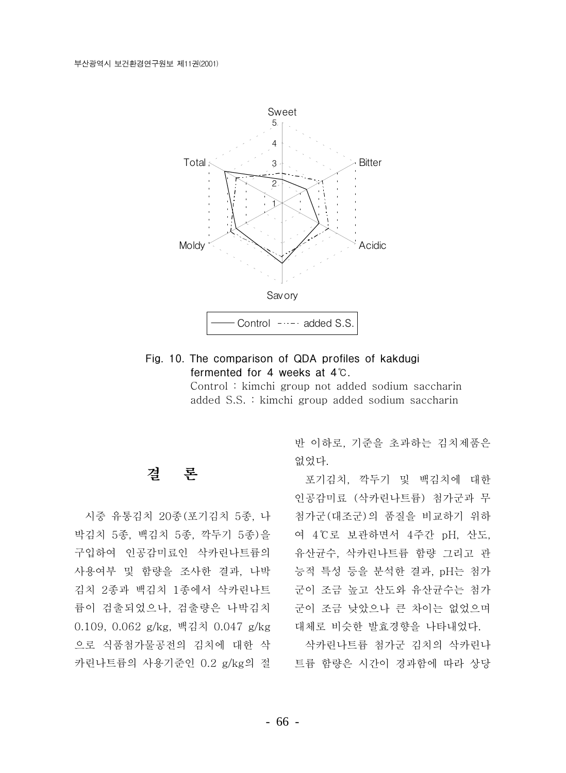

### Fig. 10. The comparison of QDA profiles of kakdugi fermented for 4 weeks at 4°C.

Control: kimchi group not added sodium saccharin added S.S. : kimchi group added sodium saccharin

#### 곀 로

시중 유통김치 20종(포기김치 5종, 나 박김치 5종, 백김치 5종, 깍두기 5종)을 구입하여 인공감미료인 삭카린나트륨의 사용여부 및 함량을 조사한 결과, 나박 김치 2종과 백김치 1종에서 삭카린나트 륨이 검출되었으나, 검출량은 나박김치 0.109, 0.062 g/kg, 백김치 0.047 g/kg 으로 식품첨가물공전의 김치에 대한 삭 카린나트륨의 사용기준인 0.2 g/kg의 절 트륨 함량은 시간이 경과함에 따라 상당

반 이하로, 기준을 초과하는 김치제품은 없었다.

포기김치, 깍두기 및 백김치에 대한 인공감미료 (삭카린나트륨) 첨가군과 무 첨가군 (대조군)의 품질을 비교하기 위하 여 4℃로 보관하면서 4주간 pH, 산도, 유산균수, 삭카린나트륨 함량 그리고 관 능적 특성 등을 분석한 결과, pH는 첨가 군이 조금 높고 산도와 유산균수는 첨가 군이 조금 낮았으나 큰 차이는 없었으며 대체로 비슷한 발효경향을 나타내었다.

삭카린나트륨 첨가군 김치의 삭카린나